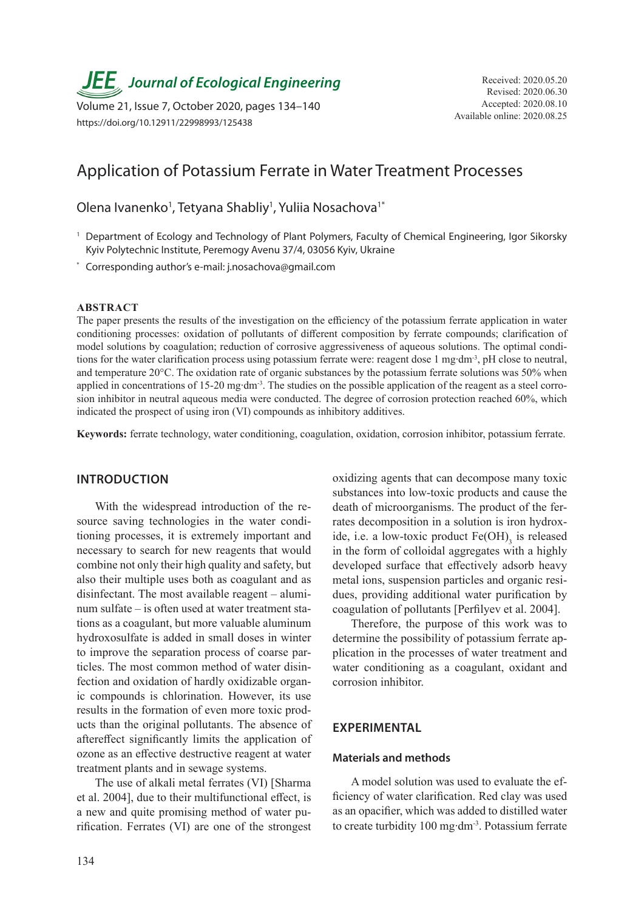**JEE**, Journal of Ecological Engineering Received: 2020.05.20

Volume 21, Issue 7, October 2020, pages 134–140<br>Available online: 2020.08.25 Available online: 2020.08.25 https://doi.org/10.12911/22998993/125438

# Application of Potassium Ferrate in Water Treatment Processes

Olena Ivanenko<sup>1</sup>, Tetyana Shabliy<sup>1</sup>, Yuliia Nosachova<sup>1\*</sup>

- <sup>1</sup> Department of Ecology and Technology of Plant Polymers, Faculty of Chemical Engineering, Igor Sikorsky Kyiv Polytechnic Institute, Peremogy Avenu 37/4, 03056 Kyiv, Ukraine
- \* Corresponding author's e-mail: j.nosachova@gmail.com

#### **ABSTRACT**

The paper presents the results of the investigation on the efficiency of the potassium ferrate application in water conditioning processes: oxidation of pollutants of different composition by ferrate compounds; clarification of model solutions by coagulation; reduction of corrosive aggressiveness of aqueous solutions. The optimal conditions for the water clarification process using potassium ferrate were: reagent dose 1 mg∙dm-3, pH close to neutral, and temperature 20°C. The oxidation rate of organic substances by the potassium ferrate solutions was 50% when applied in concentrations of 15-20 mg∙dm-3. The studies on the possible application of the reagent as a steel corrosion inhibitor in neutral aqueous media were conducted. The degree of corrosion protection reached 60%, which indicated the prospect of using iron (VI) compounds as inhibitory additives.

**Keywords:** ferrate technology, water conditioning, coagulation, oxidation, corrosion inhibitor, potassium ferrate.

## **INTRODUCTION**

With the widespread introduction of the resource saving technologies in the water conditioning processes, it is extremely important and necessary to search for new reagents that would combine not only their high quality and safety, but also their multiple uses both as coagulant and as disinfectant. The most available reagent – aluminum sulfate – is often used at water treatment stations as a coagulant, but more valuable aluminum hydroxosulfate is added in small doses in winter to improve the separation process of coarse particles. The most common method of water disinfection and oxidation of hardly oxidizable organic compounds is chlorination. However, its use results in the formation of even more toxic products than the original pollutants. The absence of aftereffect significantly limits the application of ozone as an effective destructive reagent at water treatment plants and in sewage systems.

The use of alkali metal ferrates (VI) [Sharma et al. 2004], due to their multifunctional effect, is a new and quite promising method of water purification. Ferrates (VI) are one of the strongest oxidizing agents that can decompose many toxic substances into low-toxic products and cause the death of microorganisms. The product of the ferrates decomposition in a solution is iron hydroxide, i.e. a low-toxic product  $Fe(OH)$ <sub>3</sub> is released in the form of colloidal aggregates with a highly developed surface that effectively adsorb heavy metal ions, suspension particles and organic residues, providing additional water purification by coagulation of pollutants [Perfilyev et al. 2004].

Therefore, the purpose of this work was to determine the possibility of potassium ferrate application in the processes of water treatment and water conditioning as a coagulant, oxidant and corrosion inhibitor.

#### **EXPERIMENTAL**

#### **Materials and methods**

A model solution was used to evaluate the efficiency of water clarification. Red clay was used as an opacifier, which was added to distilled water to create turbidity 100 mg∙dm-3. Potassium ferrate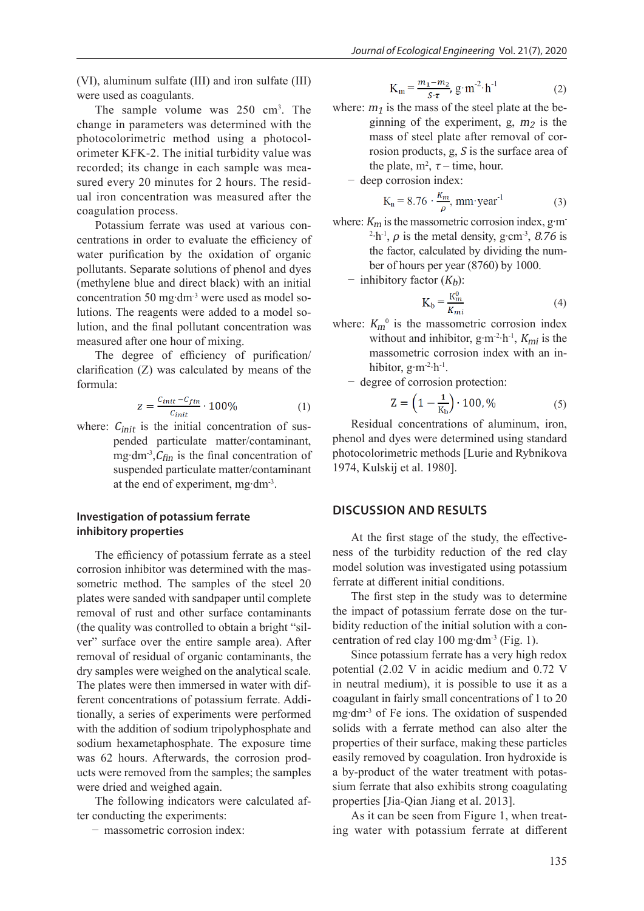(VI), aluminum sulfate (III) and iron sulfate (III) were used as coagulants.

The sample volume was 250 cm<sup>3</sup>. The change in parameters was determined with the photocolorimetric method using a photocolorimeter KFK-2. The initial turbidity value was recorded; its change in each sample was measured every 20 minutes for 2 hours. The residual iron concentration was measured after the coagulation process.

Potassium ferrate was used at various concentrations in order to evaluate the efficiency of water purification by the oxidation of organic pollutants. Separate solutions of phenol and dyes (methylene blue and direct black) with an initial concentration 50 mg∙dm-3 were used as model solutions. The reagents were added to a model solution, and the final pollutant concentration was measured after one hour of mixing.

The degree of efficiency of purification/ clarification (Z) was calculated by means of the formula:

$$
z = \frac{c_{init} - c_{fin}}{c_{init}} \cdot 100\%
$$
 (1)

where:  $C_{init}$  is the initial concentration of suspended particulate matter/contaminant, mg⋅dm<sup>-3</sup>, $C_{fin}$  is the final concentration of suspended particulate matter/contaminant at the end of experiment, mg∙dm-3.

## **Investigation of potassium ferrate inhibitory properties**

The efficiency of potassium ferrate as a steel corrosion inhibitor was determined with the massometric method. The samples of the steel 20 plates were sanded with sandpaper until complete removal of rust and other surface contaminants (the quality was controlled to obtain a bright "silver" surface over the entire sample area). After removal of residual of organic contaminants, the dry samples were weighed on the analytical scale. The plates were then immersed in water with different concentrations of potassium ferrate. Additionally, a series of experiments were performed with the addition of sodium tripolyphosphate and sodium hexametaphosphate. The exposure time was 62 hours. Afterwards, the corrosion products were removed from the samples; the samples were dried and weighed again.

The following indicators were calculated after conducting the experiments:

− massometric corrosion index:

$$
K_{m} = \frac{m_1 - m_2}{S \cdot \tau}, g \cdot m^{-2} \cdot h^{-1}
$$
 (2)

- where:  $m_1$  is the mass of the steel plate at the beginning of the experiment, g,  $m_2$  is the mass of steel plate after removal of corrosion products, g, S is the surface area of the plate,  $m^2$ ,  $\tau$  – time, hour.
	- − deep corrosion index:

$$
K_n = 8.76 \cdot \frac{K_m}{\rho}, \text{ mm-year}^{-1} \tag{3}
$$

where:  $K_m$  is the massometric corrosion index, g⋅m-<sup>2</sup> $\cdot$ h<sup>-1</sup>,  $\rho$  is the metal density, g $\cdot$ cm<sup>-3</sup>, 8.76 is the factor, calculated by dividing the number of hours per year (8760) by 1000.

 $-$  inhibitory factor  $(K_h)$ :

$$
K_b = \frac{K_m^0}{K_{mi}}\tag{4}
$$

- where:  $K_m^0$  is the massometric corrosion index without and inhibitor, g⋅m<sup>-2</sup>⋅h<sup>-1</sup>,  $K_{mi}$  is the massometric corrosion index with an inhibitor, g∙m-2∙h-1.
	- − degree of corrosion protection:

$$
Z = \left(1 - \frac{1}{K_b}\right) \cdot 100, \% \tag{5}
$$

Residual concentrations of aluminum, iron, phenol and dyes were determined using standard photocolorimetric methods [Lurie and Rybnikova 1974, Kulskij et al. 1980].

## **DISCUSSION AND RESULTS**

At the first stage of the study, the effectiveness of the turbidity reduction of the red clay model solution was investigated using potassium ferrate at different initial conditions.

The first step in the study was to determine the impact of potassium ferrate dose on the turbidity reduction of the initial solution with a concentration of red clay 100 mg∙dm-3 (Fig. 1).

Since potassium ferrate has a very high redox potential (2.02 V in acidic medium and 0.72 V in neutral medium), it is possible to use it as a coagulant in fairly small concentrations of 1 to 20 mg∙dm-3 of Fe ions. The oxidation of suspended solids with a ferrate method can also alter the properties of their surface, making these particles easily removed by coagulation. Iron hydroxide is a by-product of the water treatment with potassium ferrate that also exhibits strong coagulating properties [Jia-Qian Jiang et al. 2013].

As it can be seen from Figure 1, when treating water with potassium ferrate at different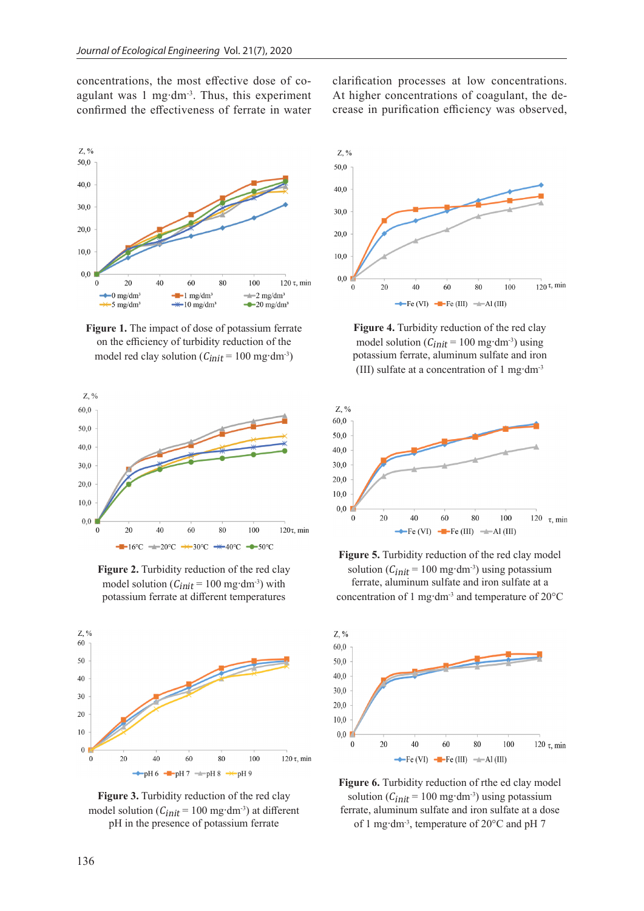concentrations, the most effective dose of coagulant was 1 mg∙dm-3. Thus, this experiment confirmed the effectiveness of ferrate in water



**Figure 1.** The impact of dose of potassium ferrate on the efficiency of turbidity reduction of the model red clay solution ( $C_{init}$  = 100 mg⋅dm<sup>-3</sup>)



**Figure 2.** Turbidity reduction of the red clay model solution ( $C_{init}$  = 100 mg⋅dm<sup>-3</sup>) with potassium ferrate at different temperatures



**Figure 3.** Turbidity reduction of the red clay model solution ( $C_{init}$  = 100 mg⋅dm<sup>-3</sup>) at different pH in the presence of potassium ferrate

clarification processes at low concentrations. At higher concentrations of coagulant, the decrease in purification efficiency was observed,



**Figure 4.** Turbidity reduction of the red clay model solution ( $C_{init}$  = 100 mg⋅dm<sup>-3</sup>) using potassium ferrate, aluminum sulfate and iron (III) sulfate at a concentration of 1 mg∙dm-3



**Figure 5.** Turbidity reduction of the red clay model solution ( $C_{init}$  = 100 mg⋅dm<sup>-3</sup>) using potassium ferrate, aluminum sulfate and iron sulfate at a concentration of 1 mg∙dm-3 and temperature of 20°C



Figure 6. Turbidity reduction of rthe ed clay model solution ( $C_{init}$  = 100 mg⋅dm<sup>-3</sup>) using potassium ferrate, aluminum sulfate and iron sulfate at a dose of 1 mg∙dm-3, temperature of 20°C and pH 7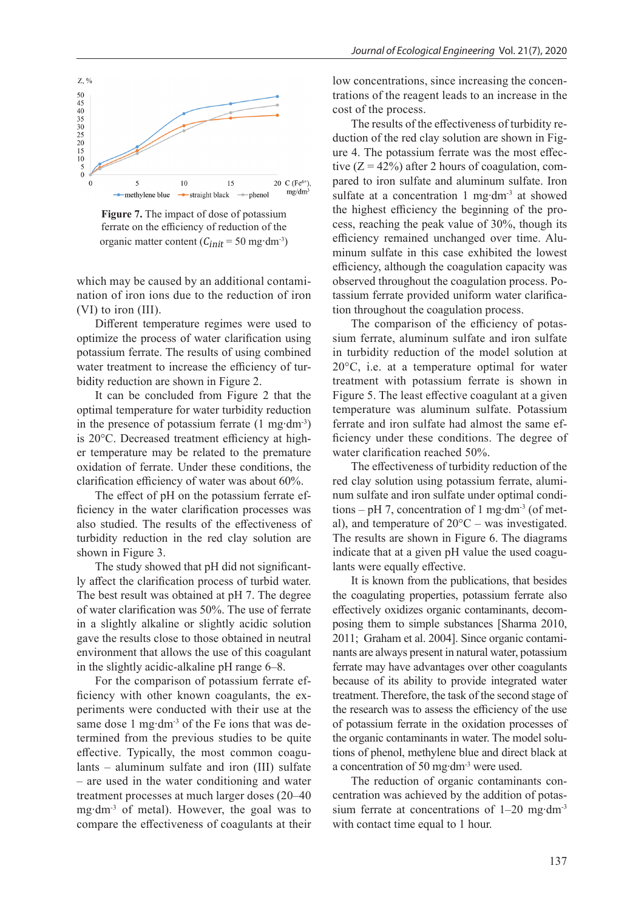

**Figure 7.** The impact of dose of potassium ferrate on the efficiency of reduction of the organic matter content ( $C_{init}$  = 50 mg⋅dm<sup>-3</sup>)

which may be caused by an additional contamination of iron ions due to the reduction of iron (VI) to iron (III).

Different temperature regimes were used to optimize the process of water clarification using potassium ferrate. The results of using combined water treatment to increase the efficiency of turbidity reduction are shown in Figure 2.

It can be concluded from Figure 2 that the optimal temperature for water turbidity reduction in the presence of potassium ferrate (1 mg∙dm-3) is 20°C. Decreased treatment efficiency at higher temperature may be related to the premature oxidation of ferrate. Under these conditions, the clarification efficiency of water was about 60%.

The effect of pH on the potassium ferrate efficiency in the water clarification processes was also studied. The results of the effectiveness of turbidity reduction in the red clay solution are shown in Figure 3.

The study showed that pH did not significantly affect the clarification process of turbid water. The best result was obtained at pH 7. The degree of water clarification was 50%. The use of ferrate in a slightly alkaline or slightly acidic solution gave the results close to those obtained in neutral environment that allows the use of this coagulant in the slightly acidic-alkaline рН range 6–8.

For the comparison of potassium ferrate efficiency with other known coagulants, the experiments were conducted with their use at the same dose 1 mg⋅dm<sup>-3</sup> of the Fe ions that was determined from the previous studies to be quite effective. Typically, the most common coagulants – aluminum sulfate and iron (III) sulfate – are used in the water conditioning and water treatment processes at much larger doses (20–40 mg∙dm-3 of metal). However, the goal was to compare the effectiveness of coagulants at their

low concentrations, since increasing the concentrations of the reagent leads to an increase in the cost of the process.

The results of the effectiveness of turbidity reduction of the red clay solution are shown in Figure 4. The potassium ferrate was the most effective  $(Z = 42\%)$  after 2 hours of coagulation, compared to iron sulfate and aluminum sulfate. Iron sulfate at a concentration 1 mg∙dm-3 at showed the highest efficiency the beginning of the process, reaching the peak value of 30%, though its efficiency remained unchanged over time. Aluminum sulfate in this case exhibited the lowest efficiency, although the coagulation capacity was observed throughout the coagulation process. Potassium ferrate provided uniform water clarification throughout the coagulation process.

The comparison of the efficiency of potassium ferrate, aluminum sulfate and iron sulfate in turbidity reduction of the model solution at 20°C, i.e. at a temperature optimal for water treatment with potassium ferrate is shown in Figure 5. The least effective coagulant at a given temperature was aluminum sulfate. Potassium ferrate and iron sulfate had almost the same efficiency under these conditions. The degree of water clarification reached 50%.

The effectiveness of turbidity reduction of the red clay solution using potassium ferrate, aluminum sulfate and iron sulfate under optimal conditions – pH 7, concentration of 1 mg⋅dm<sup>-3</sup> (of metal), and temperature of 20°C – was investigated. The results are shown in Figure 6. The diagrams indicate that at a given pH value the used coagulants were equally effective.

It is known from the publications, that besides the coagulating properties, potassium ferrate also effectively oxidizes organic contaminants, decomposing them to simple substances [Sharma 2010, 2011; Graham et al. 2004]. Since organic contaminants are always present in natural water, potassium ferrate may have advantages over other coagulants because of its ability to provide integrated water treatment. Therefore, the task of the second stage of the research was to assess the efficiency of the use of potassium ferrate in the oxidation processes of the organic contaminants in water. The model solutions of phenol, methylene blue and direct black at a concentration of 50 mg∙dm-3 were used.

The reduction of organic contaminants concentration was achieved by the addition of potassium ferrate at concentrations of 1–20 mg∙dm-3 with contact time equal to 1 hour.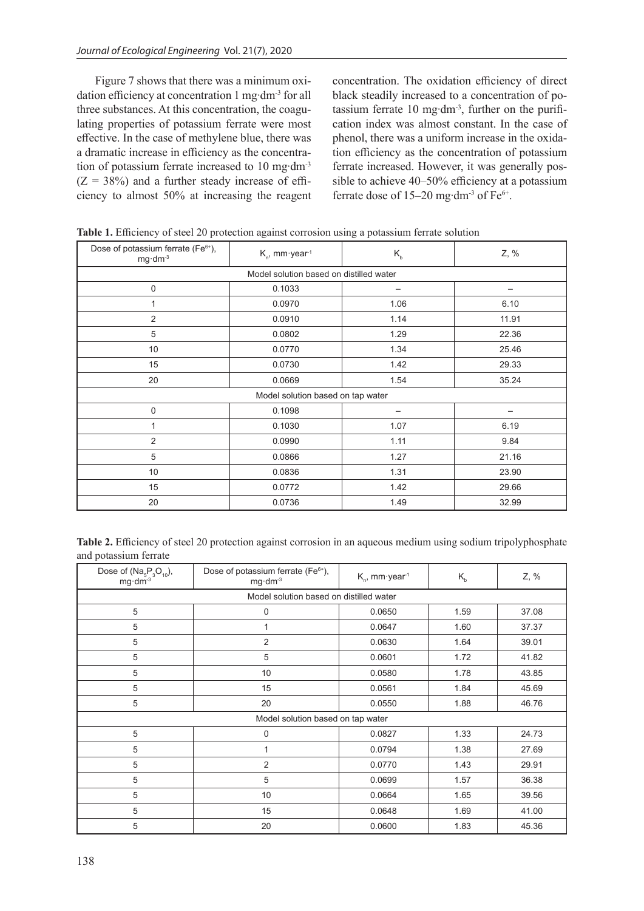Figure 7 shows that there was a minimum oxidation efficiency at concentration 1 mg∙dm-3 for all three substances. At this concentration, the coagulating properties of potassium ferrate were most effective. In the case of methylene blue, there was a dramatic increase in efficiency as the concentration of potassium ferrate increased to 10 mg∙dm-3  $(Z = 38\%)$  and a further steady increase of efficiency to almost 50% at increasing the reagent concentration. The oxidation efficiency of direct black steadily increased to a concentration of potassium ferrate 10 mg∙dm-3, further on the purification index was almost constant. In the case of phenol, there was a uniform increase in the oxidation efficiency as the concentration of potassium ferrate increased. However, it was generally possible to achieve 40–50% efficiency at a potassium ferrate dose of 15–20 mg∙dm-3 of Fe6+.

| Dose of potassium ferrate (Fe <sup>6+</sup> ),<br>mg·dm-3 | $K_{n}$ , mm·year <sup>1</sup> | Z, % |       |  |  |  |
|-----------------------------------------------------------|--------------------------------|------|-------|--|--|--|
| Model solution based on distilled water                   |                                |      |       |  |  |  |
| $\mathbf 0$                                               | 0.1033                         |      |       |  |  |  |
| 1                                                         | 0.0970                         | 1.06 | 6.10  |  |  |  |
| 2                                                         | 0.0910                         | 1.14 | 11.91 |  |  |  |
| 5                                                         | 0.0802                         | 1.29 | 22.36 |  |  |  |
| 10                                                        | 0.0770                         | 1.34 | 25.46 |  |  |  |
| 15                                                        | 0.0730                         | 1.42 | 29.33 |  |  |  |
| 20                                                        | 0.0669                         | 1.54 | 35.24 |  |  |  |
| Model solution based on tap water                         |                                |      |       |  |  |  |
| 0                                                         | 0.1098                         |      |       |  |  |  |
| 1                                                         | 0.1030                         | 1.07 | 6.19  |  |  |  |
| 2                                                         | 0.0990                         | 1.11 | 9.84  |  |  |  |
| 5                                                         | 0.0866                         | 1.27 | 21.16 |  |  |  |
| 10                                                        | 0.0836                         | 1.31 | 23.90 |  |  |  |
| 15                                                        | 0.0772                         | 1.42 | 29.66 |  |  |  |
| 20                                                        | 0.0736                         | 1.49 | 32.99 |  |  |  |

**Table 1.** Efficiency of steel 20 protection against corrosion using a potassium ferrate solution

| Table 2. Efficiency of steel 20 protection against corrosion in an aqueous medium using sodium tripolyphosphate |  |  |  |  |  |
|-----------------------------------------------------------------------------------------------------------------|--|--|--|--|--|
| and potassium ferrate                                                                                           |  |  |  |  |  |

| Dose of $(Na_5P_3O_{10}),$<br>$mg \, dm^{-3}$ | $mg \cdot dm^{-3}$ | Dose of potassium ferrate (Fe <sup>6+</sup> ),<br>$K_{n}$ , mm·year <sup>1</sup><br>$K_{b}$ |      |       |  |  |  |
|-----------------------------------------------|--------------------|---------------------------------------------------------------------------------------------|------|-------|--|--|--|
| Model solution based on distilled water       |                    |                                                                                             |      |       |  |  |  |
| 5                                             | 0                  | 0.0650                                                                                      | 1.59 | 37.08 |  |  |  |
| 5                                             |                    | 0.0647                                                                                      | 1.60 | 37.37 |  |  |  |
| 5                                             | 2                  | 0.0630                                                                                      | 1.64 | 39.01 |  |  |  |
| 5                                             | 5                  | 0.0601                                                                                      | 1.72 | 41.82 |  |  |  |
| 5                                             | 10                 | 0.0580                                                                                      | 1.78 | 43.85 |  |  |  |
| 5                                             | 15                 | 0.0561                                                                                      | 1.84 | 45.69 |  |  |  |
| 5                                             | 20                 | 0.0550                                                                                      | 1.88 | 46.76 |  |  |  |
| Model solution based on tap water             |                    |                                                                                             |      |       |  |  |  |
| 5                                             | $\mathbf 0$        | 0.0827                                                                                      | 1.33 | 24.73 |  |  |  |
| 5                                             |                    | 0.0794                                                                                      | 1.38 | 27.69 |  |  |  |
| 5                                             | 2                  | 0.0770                                                                                      | 1.43 | 29.91 |  |  |  |
| 5                                             | 5                  | 0.0699                                                                                      | 1.57 | 36.38 |  |  |  |
| 5                                             | 10                 | 0.0664                                                                                      | 1.65 | 39.56 |  |  |  |
| 5                                             | 15                 | 0.0648                                                                                      | 1.69 | 41.00 |  |  |  |
| 5                                             | 20                 | 0.0600                                                                                      | 1.83 | 45.36 |  |  |  |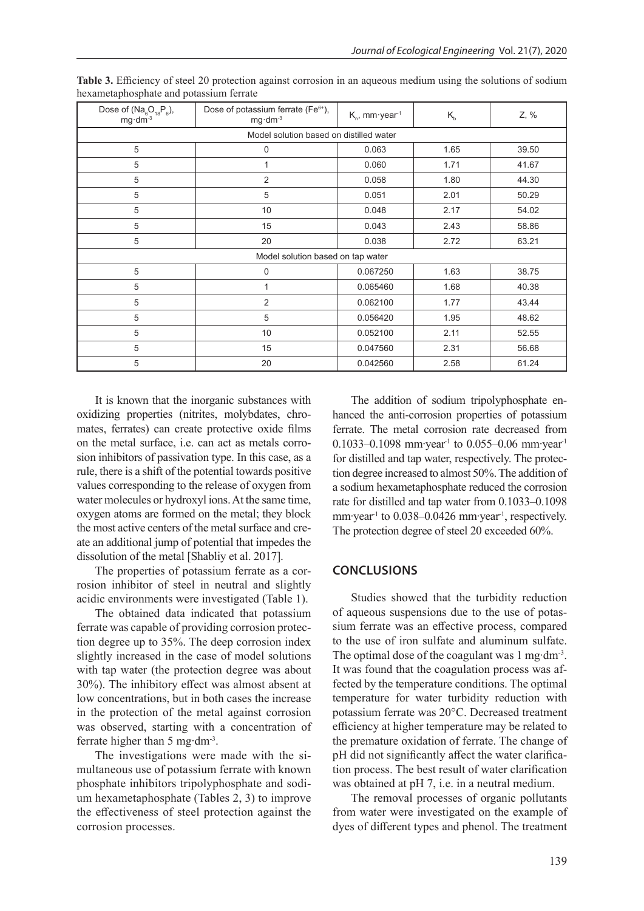| Dose of $(Na_6O_{18}P_6)$ ,<br>mg dm <sup>-3</sup> | Dose of potassium ferrate (Fe <sup>6+</sup> ),<br>$K_{n}$ , mm·year <sup>1</sup><br>$K_{b}$<br>$mg \cdot dm^{-3}$ |          |      | Z, %  |  |  |  |
|----------------------------------------------------|-------------------------------------------------------------------------------------------------------------------|----------|------|-------|--|--|--|
| Model solution based on distilled water            |                                                                                                                   |          |      |       |  |  |  |
| 5                                                  | $\mathbf 0$                                                                                                       | 0.063    | 1.65 | 39.50 |  |  |  |
| 5                                                  | 1                                                                                                                 | 0.060    | 1.71 | 41.67 |  |  |  |
| 5                                                  | 2                                                                                                                 | 0.058    | 1.80 | 44.30 |  |  |  |
| 5                                                  | 5                                                                                                                 | 0.051    | 2.01 | 50.29 |  |  |  |
| 5                                                  | 10                                                                                                                | 0.048    | 2.17 | 54.02 |  |  |  |
| 5                                                  | 15                                                                                                                | 0.043    | 2.43 | 58.86 |  |  |  |
| 5                                                  | 20                                                                                                                | 0.038    | 2.72 | 63.21 |  |  |  |
| Model solution based on tap water                  |                                                                                                                   |          |      |       |  |  |  |
| 5                                                  | $\mathbf 0$                                                                                                       | 0.067250 | 1.63 | 38.75 |  |  |  |
| 5                                                  | 1                                                                                                                 | 0.065460 | 1.68 | 40.38 |  |  |  |
| 5                                                  | 2                                                                                                                 | 0.062100 | 1.77 | 43.44 |  |  |  |
| 5                                                  | 5                                                                                                                 | 0.056420 | 1.95 | 48.62 |  |  |  |
| 5                                                  | 10                                                                                                                | 0.052100 | 2.11 | 52.55 |  |  |  |
| 5                                                  | 15                                                                                                                | 0.047560 | 2.31 | 56.68 |  |  |  |
| 5                                                  | 20                                                                                                                | 0.042560 | 2.58 | 61.24 |  |  |  |

**Table 3.** Efficiency of steel 20 protection against corrosion in an aqueous medium using the solutions of sodium hexametaphosphate and potassium ferrate

It is known that the inorganic substances with oxidizing properties (nitrites, molybdates, chromates, ferrates) can create protective oxide films on the metal surface, i.e. can act as metals corrosion inhibitors of passivation type. In this case, as a rule, there is a shift of the potential towards positive values corresponding to the release of oxygen from water molecules or hydroxyl ions. At the same time, oxygen atoms are formed on the metal; they block the most active centers of the metal surface and create an additional jump of potential that impedes the dissolution of the metal [Shabliy et al. 2017].

The properties of potassium ferrate as a corrosion inhibitor of steel in neutral and slightly acidic environments were investigated (Table 1).

The obtained data indicated that potassium ferrate was capable of providing corrosion protection degree up to 35%. The deep corrosion index slightly increased in the case of model solutions with tap water (the protection degree was about 30%). The inhibitory effect was almost absent at low concentrations, but in both cases the increase in the protection of the metal against corrosion was observed, starting with a concentration of ferrate higher than 5 mg∙dm-3.

The investigations were made with the simultaneous use of potassium ferrate with known phosphate inhibitors tripolyphosphate and sodium hexametaphosphate (Tables 2, 3) to improve the effectiveness of steel protection against the corrosion processes.

The addition of sodium tripolyphosphate enhanced the anti-corrosion properties of potassium ferrate. The metal corrosion rate decreased from 0.1033–0.1098 mm∙year-1 to 0.055–0.06 mm∙year-1 for distilled and tap water, respectively. The protection degree increased to almost 50%.The addition of a sodium hexametaphosphate reduced the corrosion rate for distilled and tap water from 0.1033–0.1098 mm⋅year<sup>-1</sup> to 0.038–0.0426 mm⋅year<sup>-1</sup>, respectively. The protection degree of steel 20 exceeded 60%.

## **CONCLUSIONS**

Studies showed that the turbidity reduction of aqueous suspensions due to the use of potassium ferrate was an effective process, compared to the use of iron sulfate and aluminum sulfate. The optimal dose of the coagulant was 1 mg⋅dm<sup>-3</sup>. It was found that the coagulation process was affected by the temperature conditions. The optimal temperature for water turbidity reduction with potassium ferrate was 20°C. Decreased treatment efficiency at higher temperature may be related to the premature oxidation of ferrate. The change of pH did not significantly affect the water clarification process. The best result of water clarification was obtained at pH 7, i.e. in a neutral medium.

The removal processes of organic pollutants from water were investigated on the example of dyes of different types and phenol. The treatment